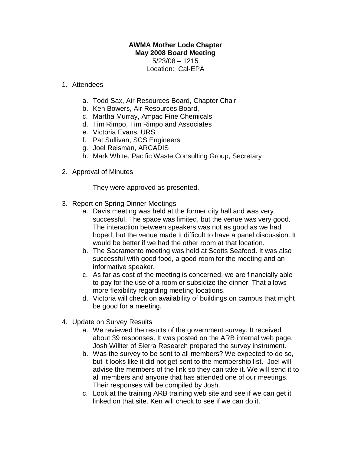## **AWMA Mother Lode Chapter May 2008 Board Meeting**  5/23/08 – 1215

Location: Cal-EPA

## 1. Attendees

- a. Todd Sax, Air Resources Board, Chapter Chair
- b. Ken Bowers, Air Resources Board,
- c. Martha Murray, Ampac Fine Chemicals
- d. Tim Rimpo, Tim Rimpo and Associates
- e. Victoria Evans, URS
- f. Pat Sullivan, SCS Engineers
- g. Joel Reisman, ARCADIS
- h. Mark White, Pacific Waste Consulting Group, Secretary
- 2. Approval of Minutes

They were approved as presented.

- 3. Report on Spring Dinner Meetings
	- a. Davis meeting was held at the former city hall and was very successful. The space was limited, but the venue was very good. The interaction between speakers was not as good as we had hoped, but the venue made it difficult to have a panel discussion. It would be better if we had the other room at that location.
	- b. The Sacramento meeting was held at Scotts Seafood. It was also successful with good food, a good room for the meeting and an informative speaker.
	- c. As far as cost of the meeting is concerned, we are financially able to pay for the use of a room or subsidize the dinner. That allows more flexibility regarding meeting locations.
	- d. Victoria will check on availability of buildings on campus that might be good for a meeting.
- 4. Update on Survey Results
	- a. We reviewed the results of the government survey. It received about 39 responses. It was posted on the ARB internal web page. Josh Willter of Sierra Research prepared the survey instrument.
	- b. Was the survey to be sent to all members? We expected to do so, but it looks like it did not get sent to the membership list. Joel will advise the members of the link so they can take it. We will send it to all members and anyone that has attended one of our meetings. Their responses will be compiled by Josh.
	- c. Look at the training ARB training web site and see if we can get it linked on that site. Ken will check to see if we can do it.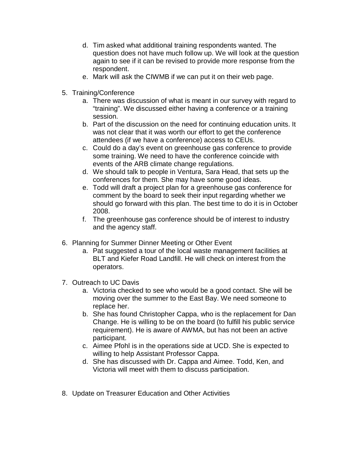- d. Tim asked what additional training respondents wanted. The question does not have much follow up. We will look at the question again to see if it can be revised to provide more response from the respondent.
- e. Mark will ask the CIWMB if we can put it on their web page.
- 5. Training/Conference
	- a. There was discussion of what is meant in our survey with regard to "training". We discussed either having a conference or a training session.
	- b. Part of the discussion on the need for continuing education units. It was not clear that it was worth our effort to get the conference attendees (if we have a conference) access to CEUs.
	- c. Could do a day's event on greenhouse gas conference to provide some training. We need to have the conference coincide with events of the ARB climate change regulations.
	- d. We should talk to people in Ventura, Sara Head, that sets up the conferences for them. She may have some good ideas.
	- e. Todd will draft a project plan for a greenhouse gas conference for comment by the board to seek their input regarding whether we should go forward with this plan. The best time to do it is in October 2008.
	- f. The greenhouse gas conference should be of interest to industry and the agency staff.
- 6. Planning for Summer Dinner Meeting or Other Event
	- a. Pat suggested a tour of the local waste management facilities at BLT and Kiefer Road Landfill. He will check on interest from the operators.
- 7. Outreach to UC Davis
	- a. Victoria checked to see who would be a good contact. She will be moving over the summer to the East Bay. We need someone to replace her.
	- b. She has found Christopher Cappa, who is the replacement for Dan Change. He is willing to be on the board (to fulfill his public service requirement). He is aware of AWMA, but has not been an active participant.
	- c. Aimee Pfohl is in the operations side at UCD. She is expected to willing to help Assistant Professor Cappa.
	- d. She has discussed with Dr. Cappa and Aimee. Todd, Ken, and Victoria will meet with them to discuss participation.
- 8. Update on Treasurer Education and Other Activities